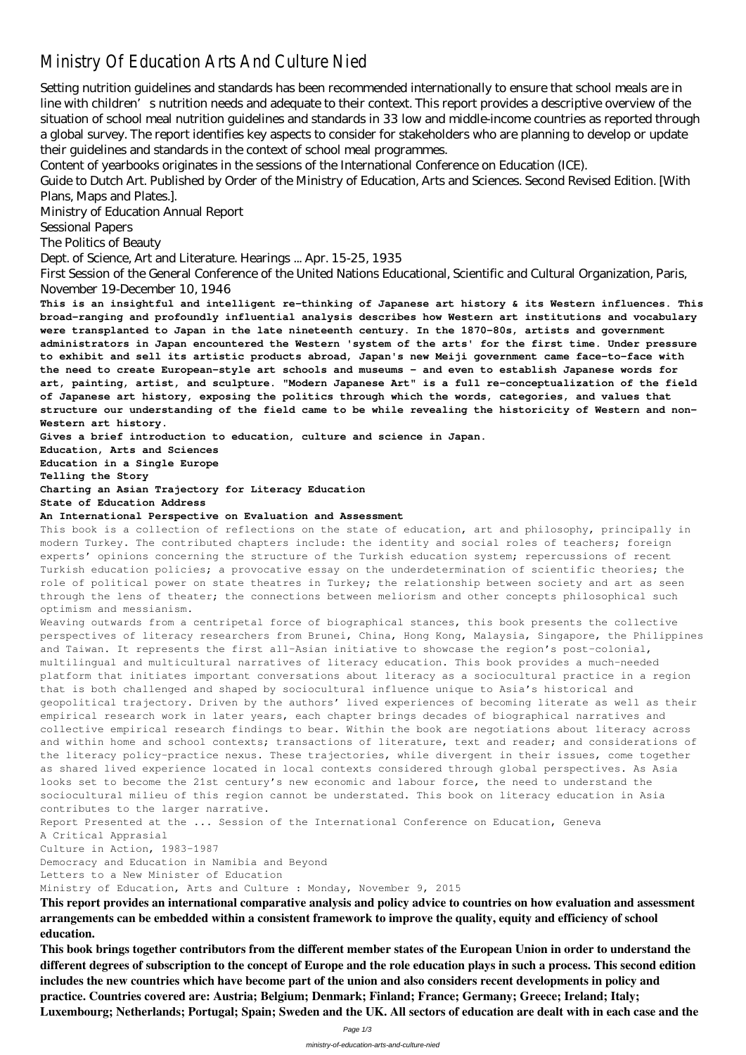## Ministry Of Education Arts And Culture Nied

Setting nutrition guidelines and standards has been recommended internationally to ensure that school meals are in line with children's nutrition needs and adequate to their context. This report provides a descriptive overview of the situation of school meal nutrition guidelines and standards in 33 low and middle-income countries as reported through a global survey. The report identifies key aspects to consider for stakeholders who are planning to develop or update their guidelines and standards in the context of school meal programmes.

Content of yearbooks originates in the sessions of the International Conference on Education (ICE).

Guide to Dutch Art. Published by Order of the Ministry of Education, Arts and Sciences. Second Revised Edition. [With Plans, Maps and Plates.].

Ministry of Education Annual Report

Sessional Papers

The Politics of Beauty

Dept. of Science, Art and Literature. Hearings ... Apr. 15-25, 1935

First Session of the General Conference of the United Nations Educational, Scientific and Cultural Organization, Paris, November 19-December 10, 1946

**This is an insightful and intelligent re-thinking of Japanese art history & its Western influences. This broad-ranging and profoundly influential analysis describes how Western art institutions and vocabulary were transplanted to Japan in the late nineteenth century. In the 1870-80s, artists and government administrators in Japan encountered the Western 'system of the arts' for the first time. Under pressure to exhibit and sell its artistic products abroad, Japan's new Meiji government came face-to-face with the need to create European-style art schools and museums - and even to establish Japanese words for art, painting, artist, and sculpture. "Modern Japanese Art" is a full re-conceptualization of the field of Japanese art history, exposing the politics through which the words, categories, and values that structure our understanding of the field came to be while revealing the historicity of Western and non-Western art history.**

**Gives a brief introduction to education, culture and science in Japan.**

**Education, Arts and Sciences**

**Education in a Single Europe**

**Telling the Story**

**Charting an Asian Trajectory for Literacy Education**

**State of Education Address**

## **An International Perspective on Evaluation and Assessment**

This book is a collection of reflections on the state of education, art and philosophy, principally in modern Turkey. The contributed chapters include: the identity and social roles of teachers; foreign experts' opinions concerning the structure of the Turkish education system; repercussions of recent Turkish education policies; a provocative essay on the underdetermination of scientific theories; the role of political power on state theatres in Turkey; the relationship between society and art as seen through the lens of theater; the connections between meliorism and other concepts philosophical such optimism and messianism.

Weaving outwards from a centripetal force of biographical stances, this book presents the collective perspectives of literacy researchers from Brunei, China, Hong Kong, Malaysia, Singapore, the Philippines and Taiwan. It represents the first all-Asian initiative to showcase the region's post-colonial, multilingual and multicultural narratives of literacy education. This book provides a much-needed platform that initiates important conversations about literacy as a sociocultural practice in a region that is both challenged and shaped by sociocultural influence unique to Asia's historical and geopolitical trajectory. Driven by the authors' lived experiences of becoming literate as well as their empirical research work in later years, each chapter brings decades of biographical narratives and collective empirical research findings to bear. Within the book are negotiations about literacy across and within home and school contexts; transactions of literature, text and reader; and considerations of the literacy policy-practice nexus. These trajectories, while divergent in their issues, come together as shared lived experience located in local contexts considered through global perspectives. As Asia looks set to become the 21st century's new economic and labour force, the need to understand the sociocultural milieu of this region cannot be understated. This book on literacy education in Asia

contributes to the larger narrative.

Report Presented at the ... Session of the International Conference on Education, Geneva A Critical Apprasial

Culture in Action, 1983-1987

Democracy and Education in Namibia and Beyond

Letters to a New Minister of Education

Ministry of Education, Arts and Culture : Monday, November 9, 2015

**This report provides an international comparative analysis and policy advice to countries on how evaluation and assessment arrangements can be embedded within a consistent framework to improve the quality, equity and efficiency of school education.**

**This book brings together contributors from the different member states of the European Union in order to understand the different degrees of subscription to the concept of Europe and the role education plays in such a process. This second edition includes the new countries which have become part of the union and also considers recent developments in policy and practice. Countries covered are: Austria; Belgium; Denmark; Finland; France; Germany; Greece; Ireland; Italy; Luxembourg; Netherlands; Portugal; Spain; Sweden and the UK. All sectors of education are dealt with in each case and the**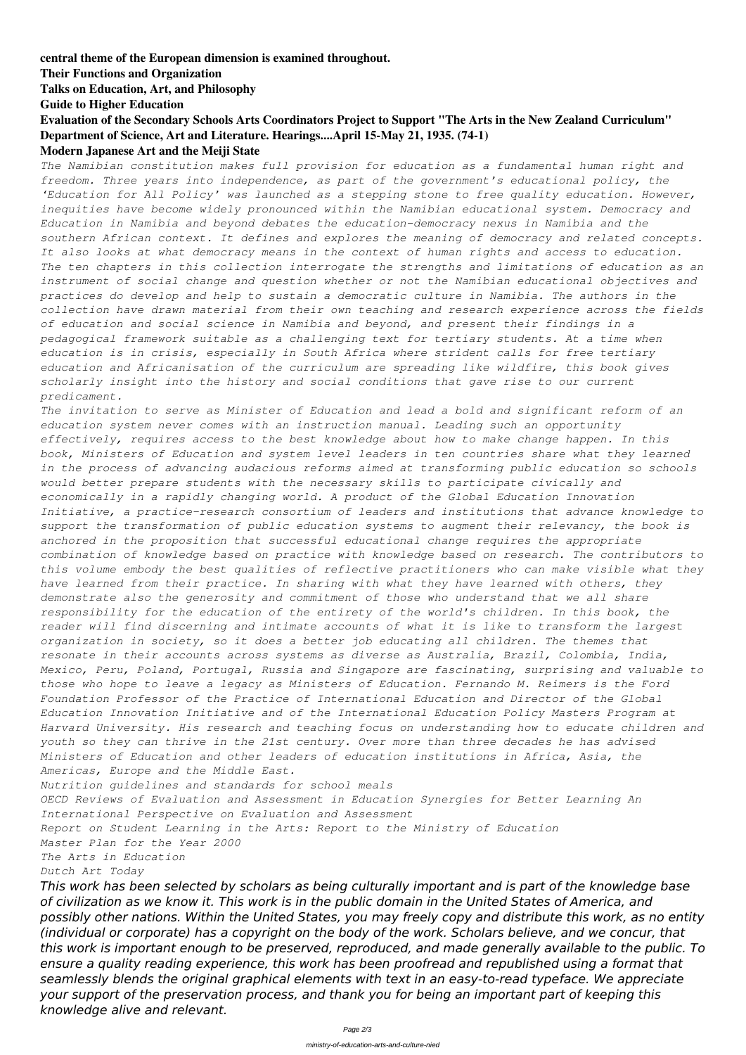**central theme of the European dimension is examined throughout. Their Functions and Organization Talks on Education, Art, and Philosophy Guide to Higher Education Evaluation of the Secondary Schools Arts Coordinators Project to Support "The Arts in the New Zealand Curriculum"**

**Department of Science, Art and Literature. Hearings....April 15-May 21, 1935. (74-1)**

## **Modern Japanese Art and the Meiji State**

*The Namibian constitution makes full provision for education as a fundamental human right and freedom. Three years into independence, as part of the government's educational policy, the 'Education for All Policy' was launched as a stepping stone to free quality education. However, inequities have become widely pronounced within the Namibian educational system. Democracy and Education in Namibia and beyond debates the education–democracy nexus in Namibia and the southern African context. It defines and explores the meaning of democracy and related concepts. It also looks at what democracy means in the context of human rights and access to education. The ten chapters in this collection interrogate the strengths and limitations of education as an instrument of social change and question whether or not the Namibian educational objectives and practices do develop and help to sustain a democratic culture in Namibia. The authors in the collection have drawn material from their own teaching and research experience across the fields of education and social science in Namibia and beyond, and present their findings in a pedagogical framework suitable as a challenging text for tertiary students. At a time when education is in crisis, especially in South Africa where strident calls for free tertiary education and Africanisation of the curriculum are spreading like wildfire, this book gives scholarly insight into the history and social conditions that gave rise to our current predicament.*

*The invitation to serve as Minister of Education and lead a bold and significant reform of an education system never comes with an instruction manual. Leading such an opportunity effectively, requires access to the best knowledge about how to make change happen. In this book, Ministers of Education and system level leaders in ten countries share what they learned in the process of advancing audacious reforms aimed at transforming public education so schools would better prepare students with the necessary skills to participate civically and economically in a rapidly changing world. A product of the Global Education Innovation Initiative, a practice-research consortium of leaders and institutions that advance knowledge to support the transformation of public education systems to augment their relevancy, the book is anchored in the proposition that successful educational change requires the appropriate combination of knowledge based on practice with knowledge based on research. The contributors to this volume embody the best qualities of reflective practitioners who can make visible what they have learned from their practice. In sharing with what they have learned with others, they demonstrate also the generosity and commitment of those who understand that we all share responsibility for the education of the entirety of the world's children. In this book, the reader will find discerning and intimate accounts of what it is like to transform the largest organization in society, so it does a better job educating all children. The themes that resonate in their accounts across systems as diverse as Australia, Brazil, Colombia, India, Mexico, Peru, Poland, Portugal, Russia and Singapore are fascinating, surprising and valuable to those who hope to leave a legacy as Ministers of Education. Fernando M. Reimers is the Ford Foundation Professor of the Practice of International Education and Director of the Global Education Innovation Initiative and of the International Education Policy Masters Program at Harvard University. His research and teaching focus on understanding how to educate children and youth so they can thrive in the 21st century. Over more than three decades he has advised Ministers of Education and other leaders of education institutions in Africa, Asia, the Americas, Europe and the Middle East.*

*Nutrition guidelines and standards for school meals*

*OECD Reviews of Evaluation and Assessment in Education Synergies for Better Learning An International Perspective on Evaluation and Assessment Report on Student Learning in the Arts: Report to the Ministry of Education Master Plan for the Year 2000*

*The Arts in Education*

*Dutch Art Today*

*This work has been selected by scholars as being culturally important and is part of the knowledge base of civilization as we know it. This work is in the public domain in the United States of America, and possibly other nations. Within the United States, you may freely copy and distribute this work, as no entity (individual or corporate) has a copyright on the body of the work. Scholars believe, and we concur, that this work is important enough to be preserved, reproduced, and made generally available to the public. To ensure a quality reading experience, this work has been proofread and republished using a format that seamlessly blends the original graphical elements with text in an easy-to-read typeface. We appreciate your support of the preservation process, and thank you for being an important part of keeping this knowledge alive and relevant.*